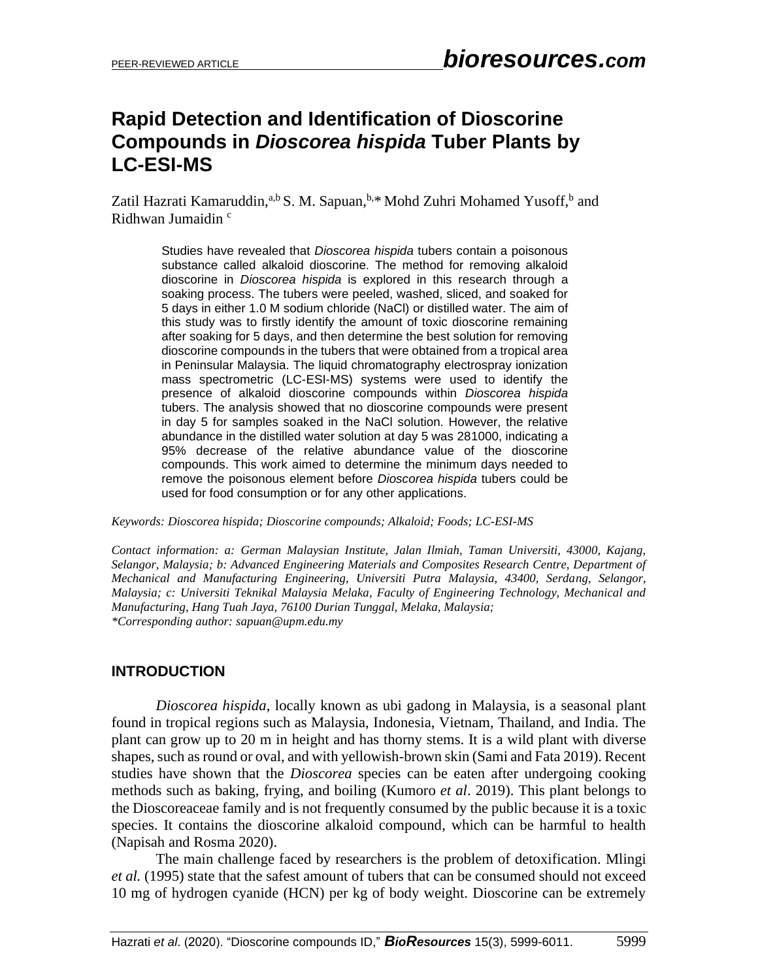# **Rapid Detection and Identification of Dioscorine Compounds in** *Dioscorea hispida* **Tuber Plants by LC-ESI-MS**

Zatil Hazrati Kamaruddin,<sup>a,b</sup> S. M. Sapuan,<sup>b,\*</sup> Mohd Zuhri Mohamed Yusoff,<sup>b</sup> and Ridhwan Jumaidin<sup>c</sup>

> Studies have revealed that *Dioscorea hispida* tubers contain a poisonous substance called alkaloid dioscorine. The method for removing alkaloid dioscorine in *Dioscorea hispida* is explored in this research through a soaking process. The tubers were peeled, washed, sliced, and soaked for 5 days in either 1.0 M sodium chloride (NaCl) or distilled water. The aim of this study was to firstly identify the amount of toxic dioscorine remaining after soaking for 5 days, and then determine the best solution for removing dioscorine compounds in the tubers that were obtained from a tropical area in Peninsular Malaysia. The liquid chromatography electrospray ionization mass spectrometric (LC-ESI-MS) systems were used to identify the presence of alkaloid dioscorine compounds within *Dioscorea hispida* tubers. The analysis showed that no dioscorine compounds were present in day 5 for samples soaked in the NaCl solution. However, the relative abundance in the distilled water solution at day 5 was 281000, indicating a 95% decrease of the relative abundance value of the dioscorine compounds. This work aimed to determine the minimum days needed to remove the poisonous element before *Dioscorea hispida* tubers could be used for food consumption or for any other applications.

*Keywords: Dioscorea hispida; Dioscorine compounds; Alkaloid; Foods; LC-ESI-MS*

*Contact information: a: German Malaysian Institute, Jalan Ilmiah, Taman Universiti, 43000, Kajang, Selangor, Malaysia; b: Advanced Engineering Materials and Composites Research Centre, Department of Mechanical and Manufacturing Engineering, Universiti Putra Malaysia, 43400, Serdang, Selangor, Malaysia; c: Universiti Teknikal Malaysia Melaka, Faculty of Engineering Technology, Mechanical and Manufacturing, Hang Tuah Jaya, 76100 Durian Tunggal, Melaka, Malaysia; \*Corresponding author: sapuan@upm.edu.my*

### **INTRODUCTION**

*Dioscorea hispida*, locally known as ubi gadong in Malaysia, is a seasonal plant found in tropical regions such as Malaysia, Indonesia, Vietnam, Thailand, and India. The plant can grow up to 20 m in height and has thorny stems. It is a wild plant with diverse shapes, such as round or oval, and with yellowish-brown skin (Sami and Fata 2019). Recent studies have shown that the *Dioscorea* species can be eaten after undergoing cooking methods such as baking, frying, and boiling (Kumoro *et al*. 2019). This plant belongs to the Dioscoreaceae family and is not frequently consumed by the public because it is a toxic species. It contains the dioscorine alkaloid compound, which can be harmful to health (Napisah and Rosma 2020).

The main challenge faced by researchers is the problem of detoxification. Mlingi *et al.* (1995) state that the safest amount of tubers that can be consumed should not exceed 10 mg of hydrogen cyanide (HCN) per kg of body weight. Dioscorine can be extremely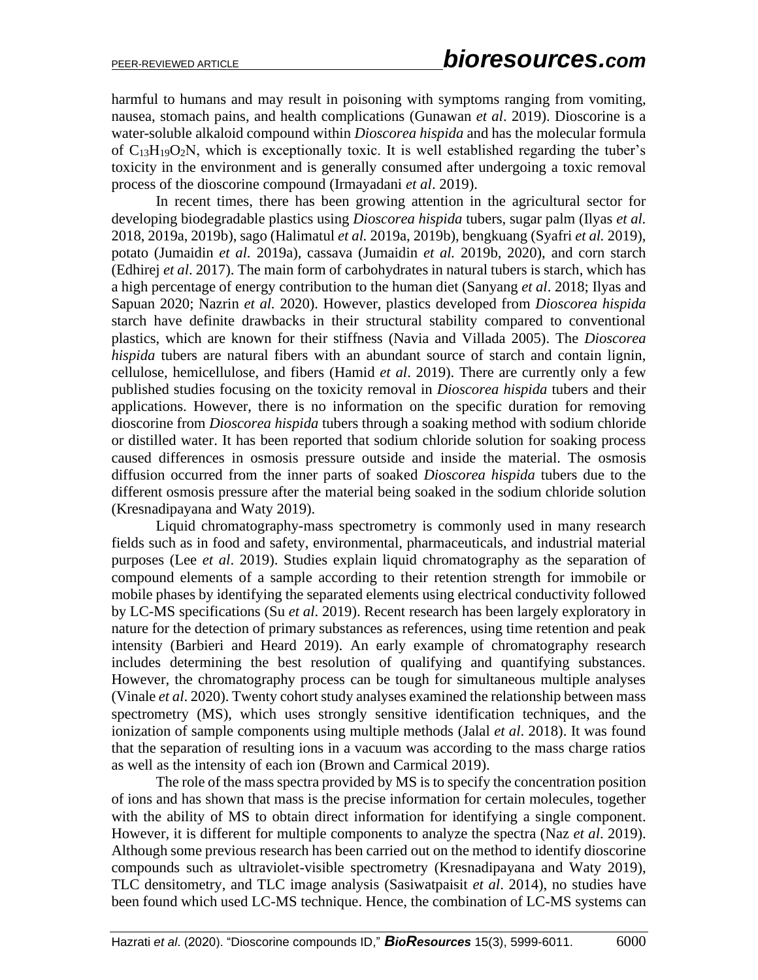harmful to humans and may result in poisoning with symptoms ranging from vomiting, nausea, stomach pains, and health complications (Gunawan *et al*. 2019). Dioscorine is a water-soluble alkaloid compound within *Dioscorea hispida* and has the molecular formula of  $C_{13}H_{19}O_2N$ , which is exceptionally toxic. It is well established regarding the tuber's toxicity in the environment and is generally consumed after undergoing a toxic removal process of the dioscorine compound (Irmayadani *et al*. 2019).

In recent times, there has been growing attention in the agricultural sector for developing biodegradable plastics using *Dioscorea hispida* tubers, sugar palm (Ilyas *et al.* 2018, 2019a, 2019b), sago (Halimatul *et al.* 2019a, 2019b), bengkuang (Syafri *et al.* 2019), potato (Jumaidin *et al.* 2019a), cassava (Jumaidin *et al.* 2019b, 2020), and corn starch (Edhirej *et al*. 2017). The main form of carbohydrates in natural tubers is starch, which has a high percentage of energy contribution to the human diet (Sanyang *et al*. 2018; Ilyas and Sapuan 2020; Nazrin *et al.* 2020). However, plastics developed from *Dioscorea hispida* starch have definite drawbacks in their structural stability compared to conventional plastics, which are known for their stiffness (Navia and Villada 2005). The *Dioscorea hispida* tubers are natural fibers with an abundant source of starch and contain lignin, cellulose, hemicellulose, and fibers (Hamid *et al*. 2019). There are currently only a few published studies focusing on the toxicity removal in *Dioscorea hispida* tubers and their applications. However, there is no information on the specific duration for removing dioscorine from *Dioscorea hispida* tubers through a soaking method with sodium chloride or distilled water. It has been reported that sodium chloride solution for soaking process caused differences in osmosis pressure outside and inside the material. The osmosis diffusion occurred from the inner parts of soaked *Dioscorea hispida* tubers due to the different osmosis pressure after the material being soaked in the sodium chloride solution (Kresnadipayana and Waty 2019).

Liquid chromatography-mass spectrometry is commonly used in many research fields such as in food and safety, environmental, pharmaceuticals, and industrial material purposes (Lee *et al*. 2019). Studies explain liquid chromatography as the separation of compound elements of a sample according to their retention strength for immobile or mobile phases by identifying the separated elements using electrical conductivity followed by LC-MS specifications (Su *et al*. 2019). Recent research has been largely exploratory in nature for the detection of primary substances as references, using time retention and peak intensity (Barbieri and Heard 2019). An early example of chromatography research includes determining the best resolution of qualifying and quantifying substances. However, the chromatography process can be tough for simultaneous multiple analyses (Vinale *et al*. 2020). Twenty cohort study analyses examined the relationship between mass spectrometry (MS), which uses strongly sensitive identification techniques, and the ionization of sample components using multiple methods (Jalal *et al*. 2018). It was found that the separation of resulting ions in a vacuum was according to the mass charge ratios as well as the intensity of each ion (Brown and Carmical 2019).

The role of the mass spectra provided by MS is to specify the concentration position of ions and has shown that mass is the precise information for certain molecules, together with the ability of MS to obtain direct information for identifying a single component. However, it is different for multiple components to analyze the spectra (Naz *et al*. 2019). Although some previous research has been carried out on the method to identify dioscorine compounds such as ultraviolet-visible spectrometry (Kresnadipayana and Waty 2019), TLC densitometry, and TLC image analysis (Sasiwatpaisit *et al*. 2014), no studies have been found which used LC-MS technique. Hence, the combination of LC-MS systems can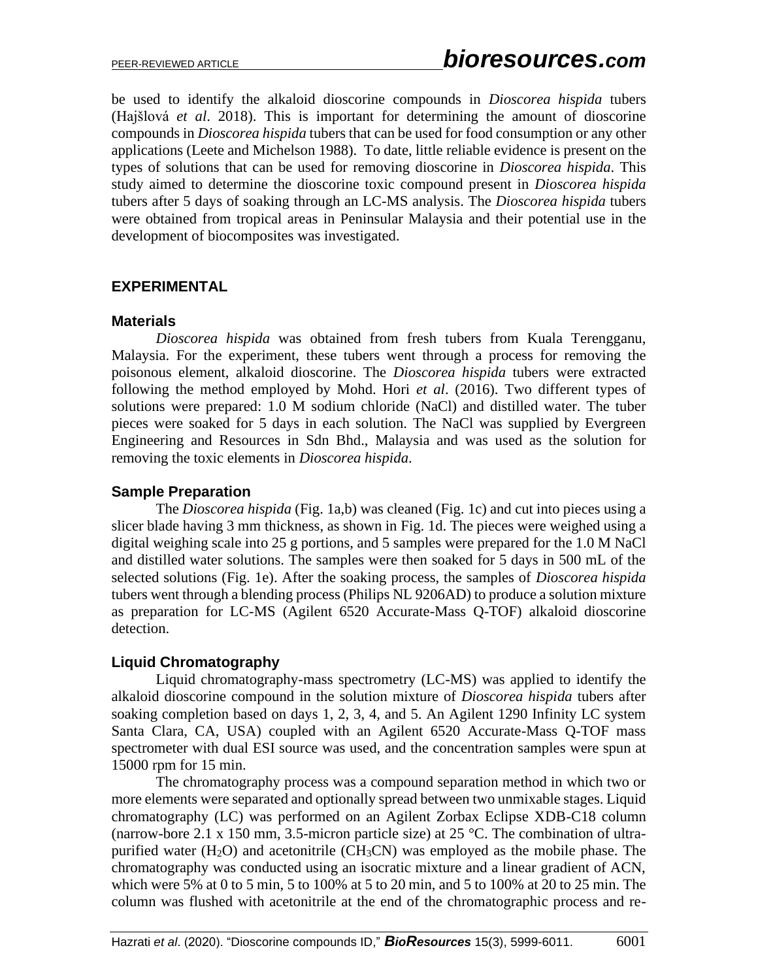be used to identify the alkaloid dioscorine compounds in *Dioscorea hispida* tubers (Hajšlová *et al*. 2018). This is important for determining the amount of dioscorine compounds in *Dioscorea hispida* tubers that can be used for food consumption or any other applications (Leete and Michelson 1988). To date, little reliable evidence is present on the types of solutions that can be used for removing dioscorine in *Dioscorea hispida*. This study aimed to determine the dioscorine toxic compound present in *Dioscorea hispida* tubers after 5 days of soaking through an LC-MS analysis. The *Dioscorea hispida* tubers were obtained from tropical areas in Peninsular Malaysia and their potential use in the development of biocomposites was investigated.

### **EXPERIMENTAL**

#### **Materials**

*Dioscorea hispida* was obtained from fresh tubers from Kuala Terengganu, Malaysia. For the experiment, these tubers went through a process for removing the poisonous element, alkaloid dioscorine. The *Dioscorea hispida* tubers were extracted following the method employed by Mohd. Hori *et al*. (2016). Two different types of solutions were prepared: 1.0 M sodium chloride (NaCl) and distilled water. The tuber pieces were soaked for 5 days in each solution. The NaCl was supplied by Evergreen Engineering and Resources in Sdn Bhd., Malaysia and was used as the solution for removing the toxic elements in *Dioscorea hispida*.

#### **Sample Preparation**

The *Dioscorea hispida* (Fig. 1a,b) was cleaned (Fig. 1c) and cut into pieces using a slicer blade having 3 mm thickness, as shown in Fig. 1d. The pieces were weighed using a digital weighing scale into 25 g portions, and 5 samples were prepared for the 1.0 M NaCl and distilled water solutions. The samples were then soaked for 5 days in 500 mL of the selected solutions (Fig. 1e). After the soaking process, the samples of *Dioscorea hispida* tubers went through a blending process (Philips NL 9206AD) to produce a solution mixture as preparation for LC-MS (Agilent 6520 Accurate-Mass Q-TOF) alkaloid dioscorine detection.

### **Liquid Chromatography**

Liquid chromatography-mass spectrometry (LC-MS) was applied to identify the alkaloid dioscorine compound in the solution mixture of *Dioscorea hispida* tubers after soaking completion based on days 1, 2, 3, 4, and 5. An Agilent 1290 Infinity LC system Santa Clara, CA, USA) coupled with an Agilent 6520 Accurate-Mass Q-TOF mass spectrometer with dual ESI source was used, and the concentration samples were spun at 15000 rpm for 15 min.

The chromatography process was a compound separation method in which two or more elements were separated and optionally spread between two unmixable stages. Liquid chromatography (LC) was performed on an Agilent Zorbax Eclipse XDB-C18 column (narrow-bore 2.1 x 150 mm, 3.5-micron particle size) at 25 °C. The combination of ultrapurified water  $(H_2O)$  and acetonitrile  $(CH_3CN)$  was employed as the mobile phase. The chromatography was conducted using an isocratic mixture and a linear gradient of ACN, which were 5% at 0 to 5 min, 5 to 100% at 5 to 20 min, and 5 to 100% at 20 to 25 min. The column was flushed with acetonitrile at the end of the chromatographic process and re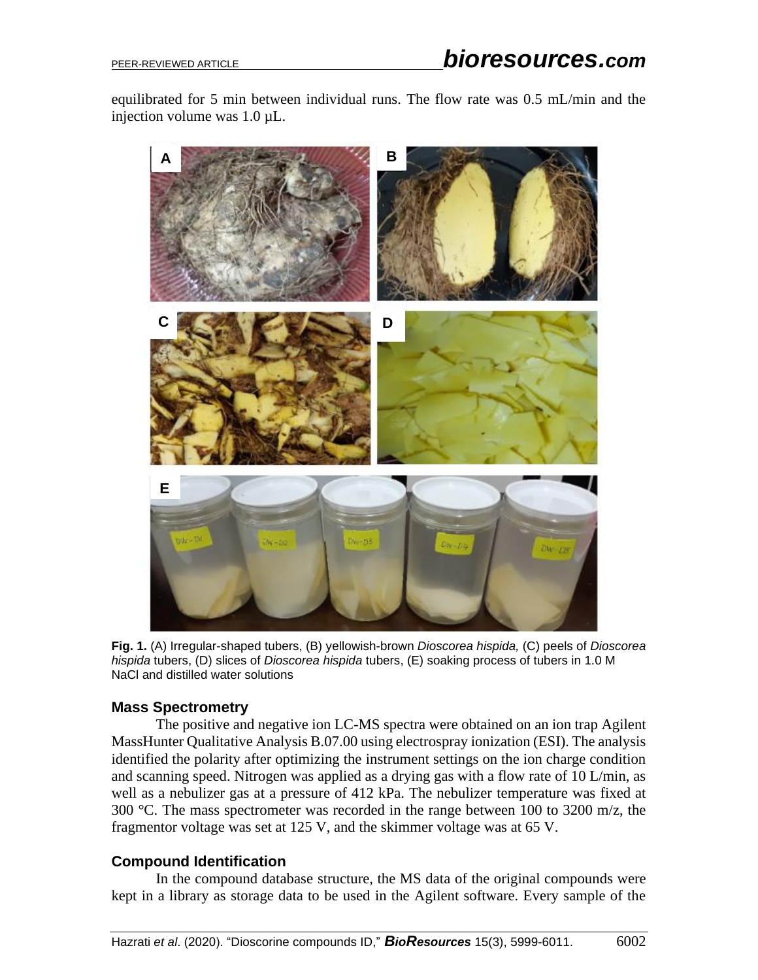equilibrated for 5 min between individual runs. The flow rate was 0.5 mL/min and the injection volume was 1.0 µL.



**Fig. 1.** (A) Irregular-shaped tubers, (B) yellowish-brown *Dioscorea hispida,* (C) peels of *Dioscorea hispida* tubers, (D) slices of *Dioscorea hispida* tubers, (E) soaking process of tubers in 1.0 M NaCl and distilled water solutions

### **Mass Spectrometry**

The positive and negative ion LC-MS spectra were obtained on an ion trap Agilent MassHunter Qualitative Analysis B.07.00 using electrospray ionization (ESI). The analysis identified the polarity after optimizing the instrument settings on the ion charge condition and scanning speed. Nitrogen was applied as a drying gas with a flow rate of 10 L/min, as well as a nebulizer gas at a pressure of 412 kPa. The nebulizer temperature was fixed at 300 °C. The mass spectrometer was recorded in the range between 100 to 3200 m/z, the fragmentor voltage was set at 125 V, and the skimmer voltage was at 65 V.

### **Compound Identification**

In the compound database structure, the MS data of the original compounds were kept in a library as storage data to be used in the Agilent software. Every sample of the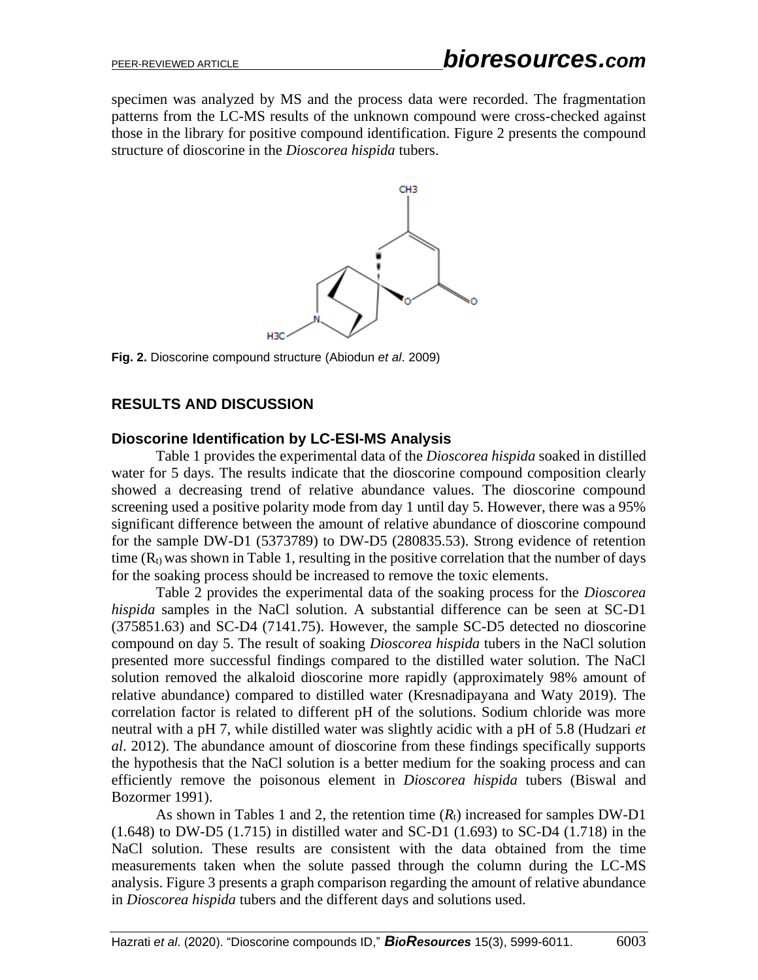specimen was analyzed by MS and the process data were recorded. The fragmentation patterns from the LC-MS results of the unknown compound were cross-checked against those in the library for positive compound identification. Figure 2 presents the compound structure of dioscorine in the *Dioscorea hispida* tubers.



**Fig. 2.** Dioscorine compound structure (Abiodun *et al*. 2009)

### **RESULTS AND DISCUSSION**

#### **Dioscorine Identification by LC-ESI-MS Analysis**

Table 1 provides the experimental data of the *Dioscorea hispida* soaked in distilled water for 5 days. The results indicate that the dioscorine compound composition clearly showed a decreasing trend of relative abundance values. The dioscorine compound screening used a positive polarity mode from day 1 until day 5. However, there was a 95% significant difference between the amount of relative abundance of dioscorine compound for the sample DW-D1 (5373789) to DW-D5 (280835.53). Strong evidence of retention time  $(R_t)$  was shown in Table 1, resulting in the positive correlation that the number of days for the soaking process should be increased to remove the toxic elements.

Table 2 provides the experimental data of the soaking process for the *Dioscorea hispida* samples in the NaCl solution. A substantial difference can be seen at SC-D1 (375851.63) and SC-D4 (7141.75). However, the sample SC-D5 detected no dioscorine compound on day 5. The result of soaking *Dioscorea hispida* tubers in the NaCl solution presented more successful findings compared to the distilled water solution. The NaCl solution removed the alkaloid dioscorine more rapidly (approximately 98% amount of relative abundance) compared to distilled water (Kresnadipayana and Waty 2019). The correlation factor is related to different pH of the solutions. Sodium chloride was more neutral with a pH 7, while distilled water was slightly acidic with a pH of 5.8 (Hudzari *et al*. 2012). The abundance amount of dioscorine from these findings specifically supports the hypothesis that the NaCl solution is a better medium for the soaking process and can efficiently remove the poisonous element in *Dioscorea hispida* tubers (Biswal and Bozormer 1991).

As shown in Tables 1 and 2, the retention time  $(R_t)$  increased for samples DW-D1 (1.648) to DW-D5 (1.715) in distilled water and SC-D1 (1.693) to SC-D4 (1.718) in the NaCl solution. These results are consistent with the data obtained from the time measurements taken when the solute passed through the column during the LC-MS analysis. Figure 3 presents a graph comparison regarding the amount of relative abundance in *Dioscorea hispida* tubers and the different days and solutions used.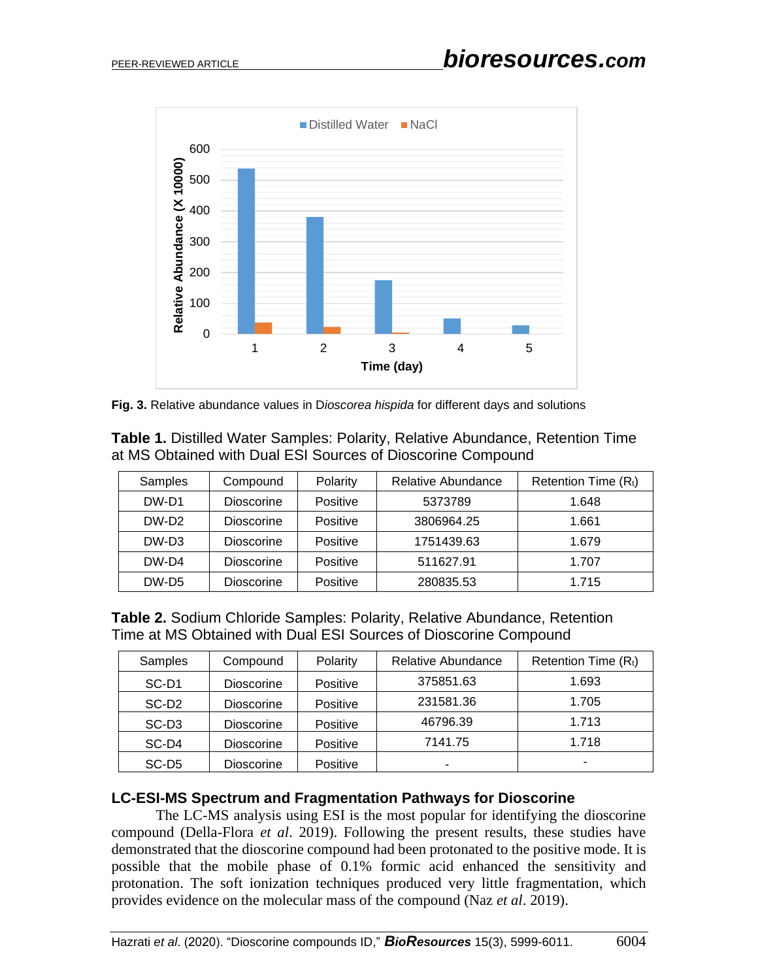

**Fig. 3.** Relative abundance values in D*ioscorea hispida* for different days and solutions

| <b>Table 1.</b> Distilled Water Samples: Polarity, Relative Abundance, Retention Time |  |
|---------------------------------------------------------------------------------------|--|
| at MS Obtained with Dual ESI Sources of Dioscorine Compound                           |  |

| Samples           | Compound          | Polarity        | Relative Abundance | Retention Time $(R_t)$ |
|-------------------|-------------------|-----------------|--------------------|------------------------|
| DW-D1             | <b>Dioscorine</b> | Positive        | 5373789            | 1.648                  |
| DW-D <sub>2</sub> | <b>Dioscorine</b> | <b>Positive</b> | 3806964.25         | 1.661                  |
| DW-D <sub>3</sub> | <b>Dioscorine</b> | Positive        | 1751439.63         | 1.679                  |
| DW-D4             | <b>Dioscorine</b> | Positive        | 511627.91          | 1.707                  |
| DW-D <sub>5</sub> | Dioscorine        | Positive        | 280835.53          | 1.715                  |

**Table 2.** Sodium Chloride Samples: Polarity, Relative Abundance, Retention Time at MS Obtained with Dual ESI Sources of Dioscorine Compound

|  | Samples           | Compound          | <b>Polarity</b> | Relative Abundance | Retention Time $(R_t)$ |
|--|-------------------|-------------------|-----------------|--------------------|------------------------|
|  | SC-D1             | Dioscorine        | Positive        | 375851.63          | 1.693                  |
|  | SC-D <sub>2</sub> | <b>Dioscorine</b> | Positive        | 231581.36          | 1.705                  |
|  | SC-D <sub>3</sub> | <b>Dioscorine</b> | Positive        | 46796.39           | 1.713                  |
|  | SC-D4             | Dioscorine        | Positive        | 7141.75            | 1.718                  |
|  | SC-D <sub>5</sub> | Dioscorine        | Positive        |                    | -                      |

### **LC-ESI-MS Spectrum and Fragmentation Pathways for Dioscorine**

The LC-MS analysis using ESI is the most popular for identifying the dioscorine compound (Della-Flora *et al*. 2019). Following the present results, these studies have demonstrated that the dioscorine compound had been protonated to the positive mode. It is possible that the mobile phase of 0.1% formic acid enhanced the sensitivity and protonation. The soft ionization techniques produced very little fragmentation, which provides evidence on the molecular mass of the compound (Naz *et al*. 2019).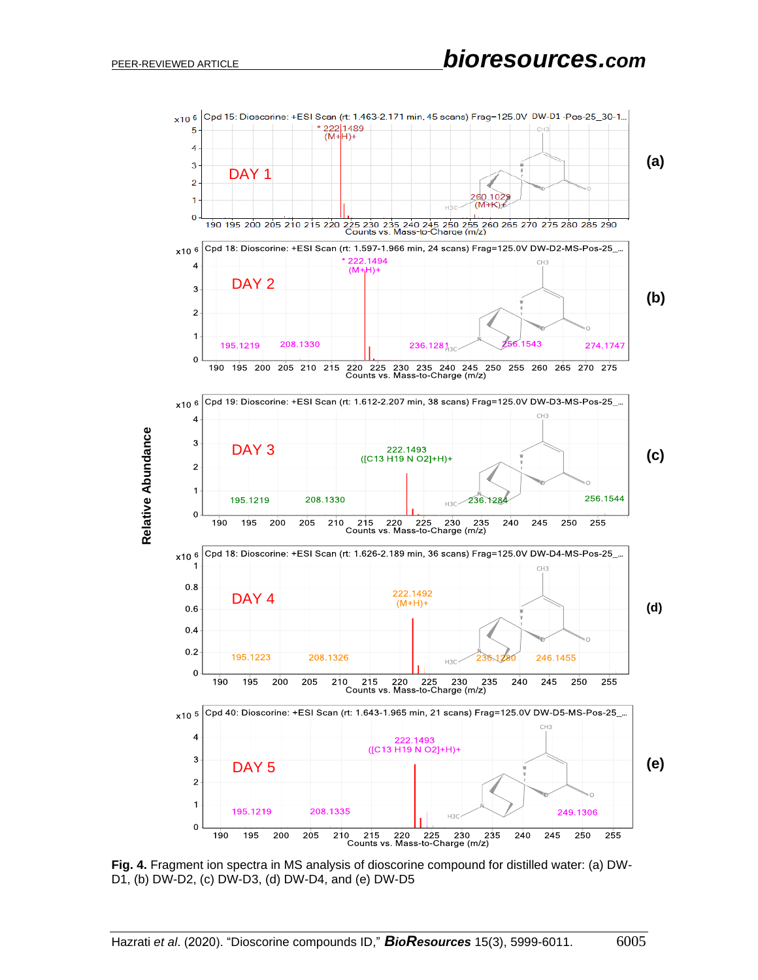

**Fig. 4.** Fragment ion spectra in MS analysis of dioscorine compound for distilled water: (a) DW-D1, (b) DW-D2, (c) DW-D3, (d) DW-D4, and (e) DW-D5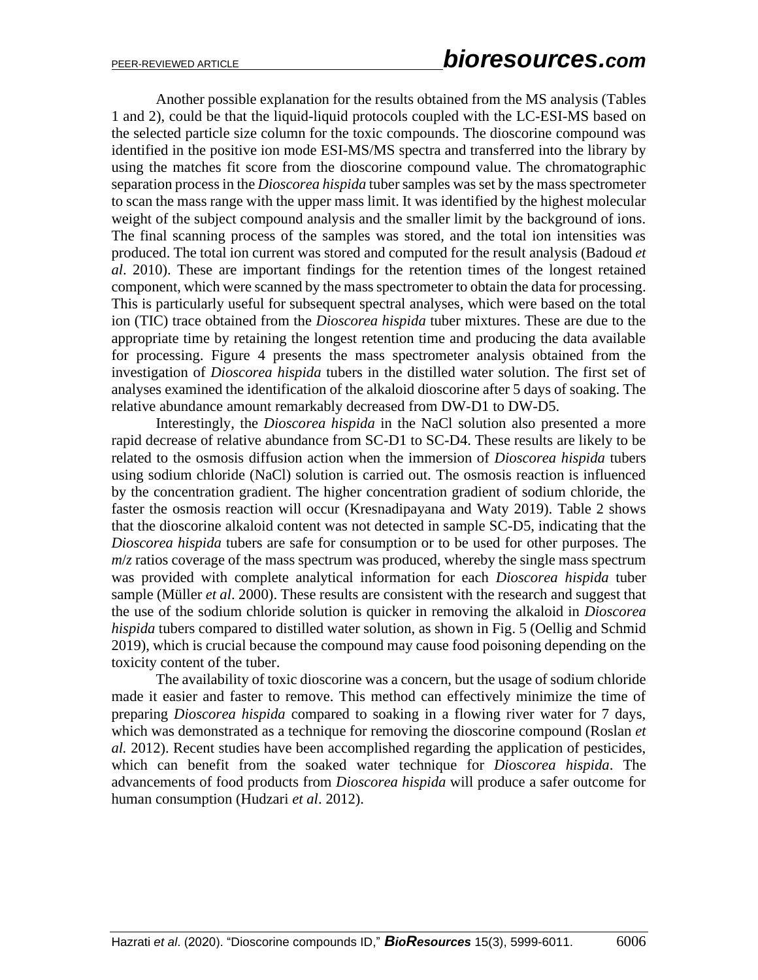Another possible explanation for the results obtained from the MS analysis (Tables 1 and 2), could be that the liquid-liquid protocols coupled with the LC-ESI-MS based on the selected particle size column for the toxic compounds. The dioscorine compound was identified in the positive ion mode ESI-MS/MS spectra and transferred into the library by using the matches fit score from the dioscorine compound value. The chromatographic separation processin the *Dioscorea hispida* tuber samples was set by the mass spectrometer to scan the mass range with the upper mass limit. It was identified by the highest molecular weight of the subject compound analysis and the smaller limit by the background of ions. The final scanning process of the samples was stored, and the total ion intensities was produced. The total ion current was stored and computed for the result analysis (Badoud *et al*. 2010). These are important findings for the retention times of the longest retained component, which were scanned by the mass spectrometer to obtain the data for processing. This is particularly useful for subsequent spectral analyses, which were based on the total ion (TIC) trace obtained from the *Dioscorea hispida* tuber mixtures. These are due to the appropriate time by retaining the longest retention time and producing the data available for processing. Figure 4 presents the mass spectrometer analysis obtained from the investigation of *Dioscorea hispida* tubers in the distilled water solution. The first set of analyses examined the identification of the alkaloid dioscorine after 5 days of soaking. The relative abundance amount remarkably decreased from DW-D1 to DW-D5.

Interestingly, the *Dioscorea hispida* in the NaCl solution also presented a more rapid decrease of relative abundance from SC-D1 to SC-D4. These results are likely to be related to the osmosis diffusion action when the immersion of *Dioscorea hispida* tubers using sodium chloride (NaCl) solution is carried out. The osmosis reaction is influenced by the concentration gradient. The higher concentration gradient of sodium chloride, the faster the osmosis reaction will occur (Kresnadipayana and Waty 2019). Table 2 shows that the dioscorine alkaloid content was not detected in sample SC-D5, indicating that the *Dioscorea hispida* tubers are safe for consumption or to be used for other purposes. The *m/z* ratios coverage of the mass spectrum was produced, whereby the single mass spectrum was provided with complete analytical information for each *Dioscorea hispida* tuber sample (Müller *et al*. 2000). These results are consistent with the research and suggest that the use of the sodium chloride solution is quicker in removing the alkaloid in *Dioscorea hispida* tubers compared to distilled water solution, as shown in Fig. 5 (Oellig and Schmid 2019), which is crucial because the compound may cause food poisoning depending on the toxicity content of the tuber.

The availability of toxic dioscorine was a concern, but the usage of sodium chloride made it easier and faster to remove. This method can effectively minimize the time of preparing *Dioscorea hispida* compared to soaking in a flowing river water for 7 days, which was demonstrated as a technique for removing the dioscorine compound (Roslan *et al.* 2012). Recent studies have been accomplished regarding the application of pesticides, which can benefit from the soaked water technique for *Dioscorea hispida*. The advancements of food products from *Dioscorea hispida* will produce a safer outcome for human consumption (Hudzari *et al*. 2012).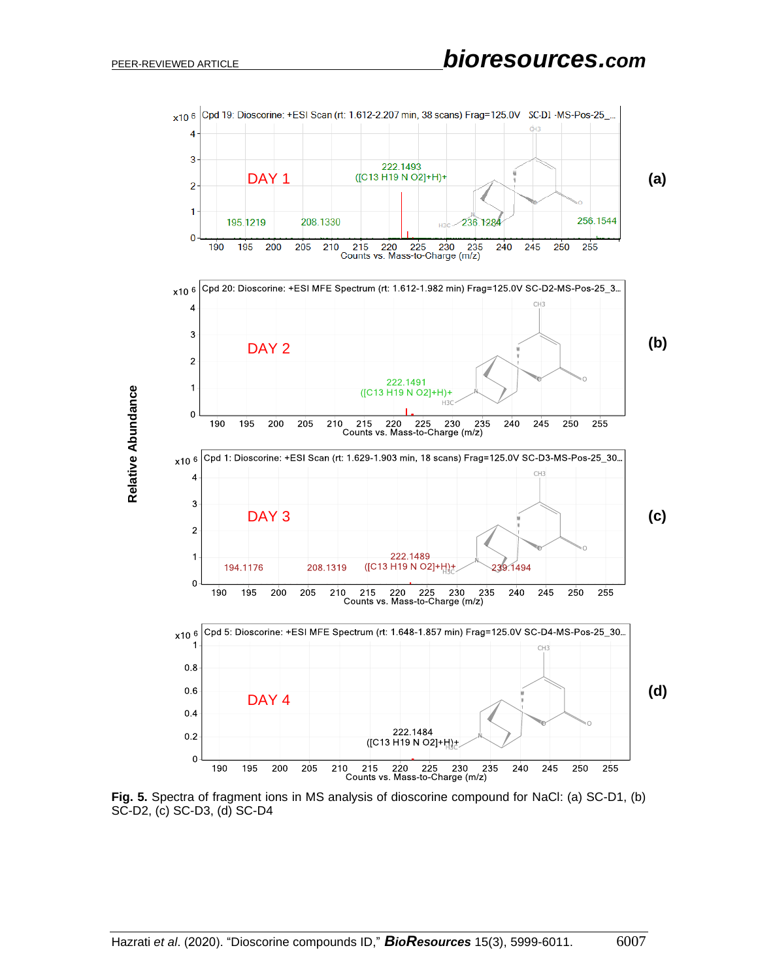

**Fig. 5.** Spectra of fragment ions in MS analysis of dioscorine compound for NaCl: (a) SC-D1, (b)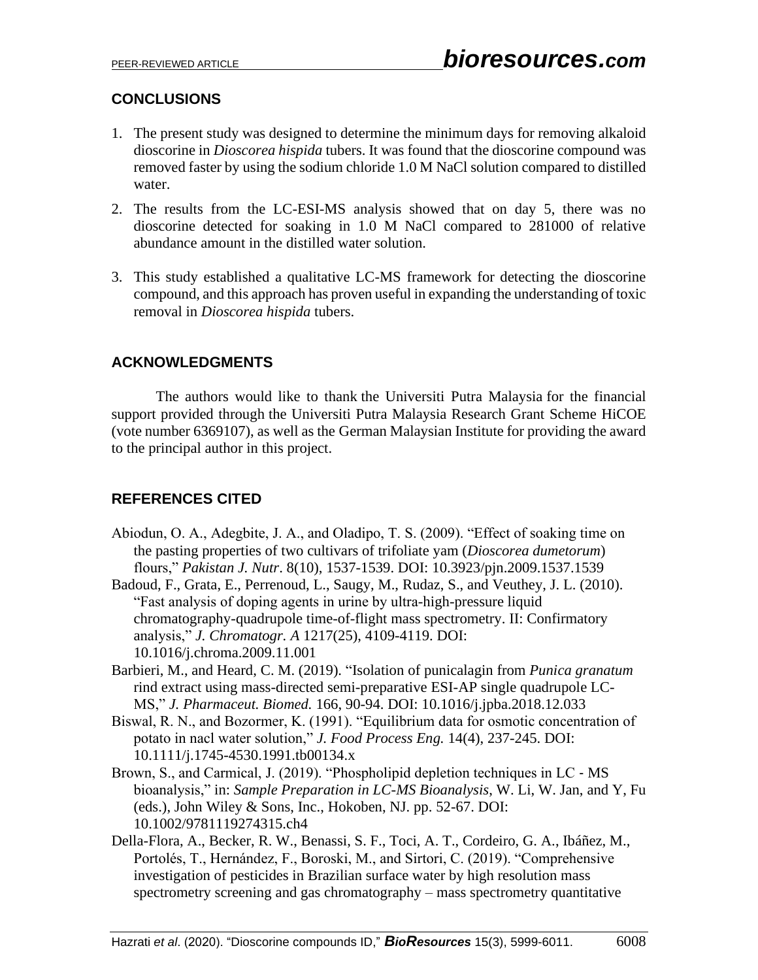## **CONCLUSIONS**

- 1. The present study was designed to determine the minimum days for removing alkaloid dioscorine in *Dioscorea hispida* tubers. It was found that the dioscorine compound was removed faster by using the sodium chloride 1.0 M NaCl solution compared to distilled water.
- 2. The results from the LC-ESI-MS analysis showed that on day 5, there was no dioscorine detected for soaking in 1.0 M NaCl compared to 281000 of relative abundance amount in the distilled water solution.
- 3. This study established a qualitative LC-MS framework for detecting the dioscorine compound, and this approach has proven useful in expanding the understanding of toxic removal in *Dioscorea hispida* tubers.

# **ACKNOWLEDGMENTS**

The authors would like to thank the Universiti Putra Malaysia for the financial support provided through the Universiti Putra Malaysia Research Grant Scheme HiCOE (vote number 6369107), as well as the German Malaysian Institute for providing the award to the principal author in this project.

# **REFERENCES CITED**

- Abiodun, O. A., Adegbite, J. A., and Oladipo, T. S. (2009). "Effect of soaking time on the pasting properties of two cultivars of trifoliate yam (*Dioscorea dumetorum*) flours," *Pakistan J. Nutr*. 8(10), 1537-1539. DOI: 10.3923/pjn.2009.1537.1539
- Badoud, F., Grata, E., Perrenoud, L., Saugy, M., Rudaz, S., and Veuthey, J. L. (2010). "Fast analysis of doping agents in urine by ultra-high-pressure liquid chromatography-quadrupole time-of-flight mass spectrometry. II: Confirmatory analysis," *J. Chromatogr. A* 1217(25), 4109-4119. DOI: 10.1016/j.chroma.2009.11.001
- Barbieri, M., and Heard, C. M. (2019). "Isolation of punicalagin from *Punica granatum* rind extract using mass-directed semi-preparative ESI-AP single quadrupole LC-MS," *J. Pharmaceut. Biomed.* 166, 90-94. DOI: 10.1016/j.jpba.2018.12.033
- Biswal, R. N., and Bozormer, K. (1991). "Equilibrium data for osmotic concentration of potato in nacl water solution," *J. Food Process Eng.* 14(4), 237-245. DOI: 10.1111/j.1745-4530.1991.tb00134.x
- Brown, S., and Carmical, J. (2019). "Phospholipid depletion techniques in LC ‐ MS bioanalysis," in: *Sample Preparation in LC-MS Bioanalysis*, W. Li, W. Jan, and Y, Fu (eds.), John Wiley & Sons, Inc., Hokoben, NJ. pp. 52-67. DOI: 10.1002/9781119274315.ch4
- Della-Flora, A., Becker, R. W., Benassi, S. F., Toci, A. T., Cordeiro, G. A., Ibáñez, M., Portolés, T., Hernández, F., Boroski, M., and Sirtori, C. (2019). "Comprehensive investigation of pesticides in Brazilian surface water by high resolution mass spectrometry screening and gas chromatography – mass spectrometry quantitative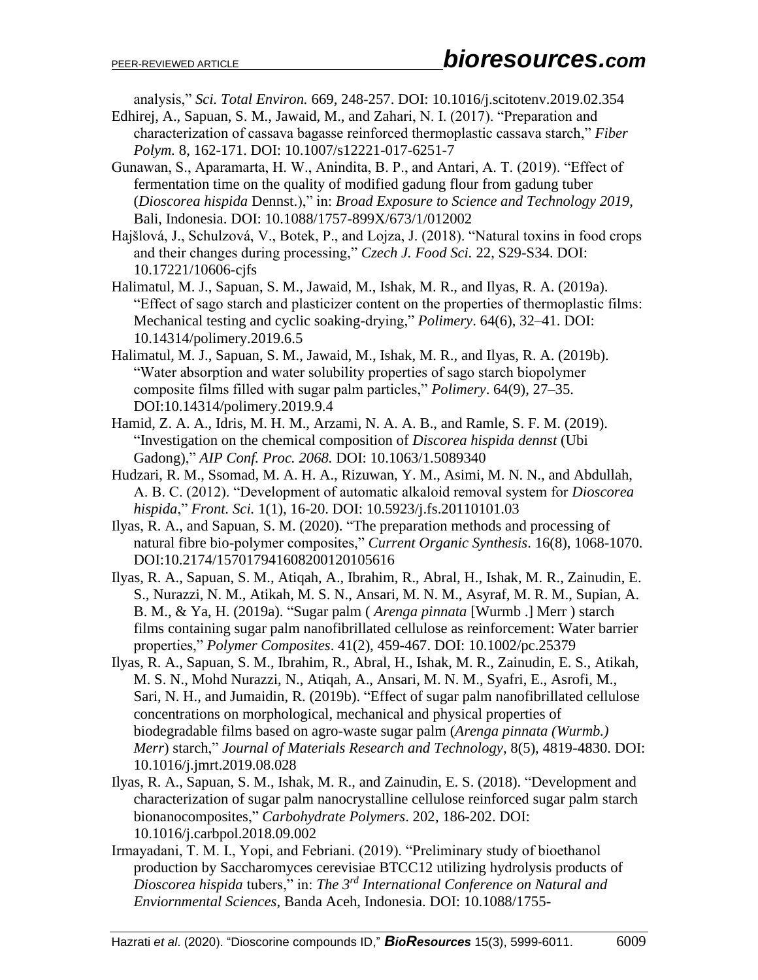analysis," *Sci. Total Environ.* 669, 248-257. DOI: 10.1016/j.scitotenv.2019.02.354

- Edhirej, A., Sapuan, S. M., Jawaid, M., and Zahari, N. I. (2017). "Preparation and characterization of cassava bagasse reinforced thermoplastic cassava starch," *Fiber Polym.* 8, 162-171. DOI: 10.1007/s12221-017-6251-7
- Gunawan, S., Aparamarta, H. W., Anindita, B. P., and Antari, A. T. (2019). "Effect of fermentation time on the quality of modified gadung flour from gadung tuber (*Dioscorea hispida* Dennst.)," in: *Broad Exposure to Science and Technology 2019*, Bali, Indonesia. DOI: 10.1088/1757-899X/673/1/012002
- Hajšlová, J., Schulzová, V., Botek, P., and Lojza, J. (2018). "Natural toxins in food crops and their changes during processing," *Czech J. Food Sci.* 22, S29-S34. DOI: 10.17221/10606-cjfs
- Halimatul, M. J., Sapuan, S. M., Jawaid, M., Ishak, M. R., and Ilyas, R. A. (2019a). "Effect of sago starch and plasticizer content on the properties of thermoplastic films: Mechanical testing and cyclic soaking-drying," *Polimery*. 64(6), 32–41. DOI: 10.14314/polimery.2019.6.5
- Halimatul, M. J., Sapuan, S. M., Jawaid, M., Ishak, M. R., and Ilyas, R. A. (2019b). "Water absorption and water solubility properties of sago starch biopolymer composite films filled with sugar palm particles," *Polimery*. 64(9), 27–35. DOI:10.14314/polimery.2019.9.4
- Hamid, Z. A. A., Idris, M. H. M., Arzami, N. A. A. B., and Ramle, S. F. M. (2019). "Investigation on the chemical composition of *Discorea hispida dennst* (Ubi Gadong)," *AIP Conf. Proc. 2068.* DOI: 10.1063/1.5089340
- Hudzari, R. M., Ssomad, M. A. H. A., Rizuwan, Y. M., Asimi, M. N. N., and Abdullah, A. B. C. (2012). "Development of automatic alkaloid removal system for *Dioscorea hispida*," *Front. Sci.* 1(1), 16-20. DOI: 10.5923/j.fs.20110101.03
- Ilyas, R. A., and Sapuan, S. M. (2020). "The preparation methods and processing of natural fibre bio-polymer composites," *Current Organic Synthesis*. 16(8), 1068-1070. DOI:10.2174/157017941608200120105616
- Ilyas, R. A., Sapuan, S. M., Atiqah, A., Ibrahim, R., Abral, H., Ishak, M. R., Zainudin, E. S., Nurazzi, N. M., Atikah, M. S. N., Ansari, M. N. M., Asyraf, M. R. M., Supian, A. B. M., & Ya, H. (2019a). "Sugar palm ( *Arenga pinnata* [Wurmb .] Merr ) starch films containing sugar palm nanofibrillated cellulose as reinforcement: Water barrier properties," *Polymer Composites*. 41(2), 459-467. DOI: 10.1002/pc.25379
- Ilyas, R. A., Sapuan, S. M., Ibrahim, R., Abral, H., Ishak, M. R., Zainudin, E. S., Atikah, M. S. N., Mohd Nurazzi, N., Atiqah, A., Ansari, M. N. M., Syafri, E., Asrofi, M., Sari, N. H., and Jumaidin, R. (2019b). "Effect of sugar palm nanofibrillated cellulose concentrations on morphological, mechanical and physical properties of biodegradable films based on agro-waste sugar palm (*Arenga pinnata (Wurmb.) Merr*) starch," *Journal of Materials Research and Technology*, 8(5), 4819-4830. DOI: 10.1016/j.jmrt.2019.08.028
- Ilyas, R. A., Sapuan, S. M., Ishak, M. R., and Zainudin, E. S. (2018). "Development and characterization of sugar palm nanocrystalline cellulose reinforced sugar palm starch bionanocomposites," *Carbohydrate Polymers*. 202, 186-202. DOI: 10.1016/j.carbpol.2018.09.002
- Irmayadani, T. M. I., Yopi, and Febriani. (2019). "Preliminary study of bioethanol production by Saccharomyces cerevisiae BTCC12 utilizing hydrolysis products of *Dioscorea hispida* tubers," in: *The 3rd International Conference on Natural and Enviornmental Sciences*, Banda Aceh, Indonesia. DOI: 10.1088/1755-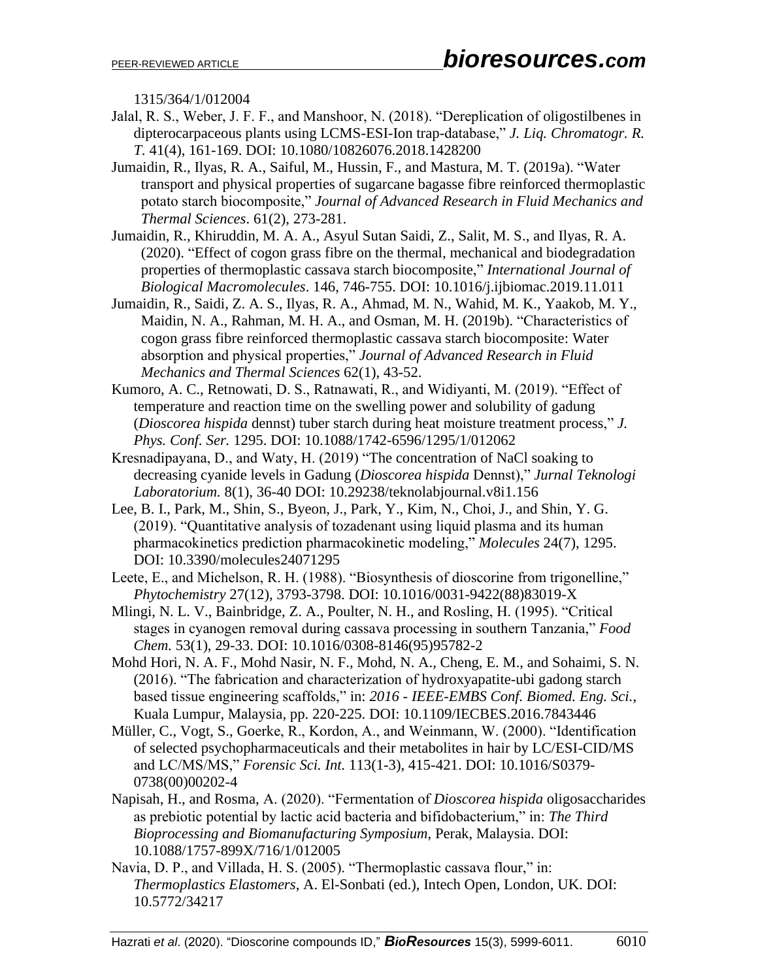1315/364/1/012004

- Jalal, R. S., Weber, J. F. F., and Manshoor, N. (2018). "Dereplication of oligostilbenes in dipterocarpaceous plants using LCMS-ESI-Ion trap-database," *J. Liq. Chromatogr. R. T.* 41(4), 161-169. DOI: 10.1080/10826076.2018.1428200
- Jumaidin, R., Ilyas, R. A., Saiful, M., Hussin, F., and Mastura, M. T. (2019a). "Water transport and physical properties of sugarcane bagasse fibre reinforced thermoplastic potato starch biocomposite," *Journal of Advanced Research in Fluid Mechanics and Thermal Sciences*. 61(2), 273-281.
- Jumaidin, R., Khiruddin, M. A. A., Asyul Sutan Saidi, Z., Salit, M. S., and Ilyas, R. A. (2020). "Effect of cogon grass fibre on the thermal, mechanical and biodegradation properties of thermoplastic cassava starch biocomposite," *International Journal of Biological Macromolecules*. 146, 746-755. DOI: 10.1016/j.ijbiomac.2019.11.011
- Jumaidin, R., Saidi, Z. A. S., Ilyas, R. A., Ahmad, M. N., Wahid, M. K., Yaakob, M. Y., Maidin, N. A., Rahman, M. H. A., and Osman, M. H. (2019b). "Characteristics of cogon grass fibre reinforced thermoplastic cassava starch biocomposite: Water absorption and physical properties," *Journal of Advanced Research in Fluid Mechanics and Thermal Sciences* 62(1), 43-52.
- Kumoro, A. C., Retnowati, D. S., Ratnawati, R., and Widiyanti, M. (2019). "Effect of temperature and reaction time on the swelling power and solubility of gadung (*Dioscorea hispida* dennst) tuber starch during heat moisture treatment process," *J. Phys. Conf. Ser.* 1295. DOI: 10.1088/1742-6596/1295/1/012062
- Kresnadipayana, D., and Waty, H. (2019) "The concentration of NaCl soaking to decreasing cyanide levels in Gadung (*Dioscorea hispida* Dennst)," *Jurnal Teknologi Laboratorium.* 8(1), 36-40 DOI: 10.29238/teknolabjournal.v8i1.156
- Lee, B. I., Park, M., Shin, S., Byeon, J., Park, Y., Kim, N., Choi, J., and Shin, Y. G. (2019). "Quantitative analysis of tozadenant using liquid plasma and its human pharmacokinetics prediction pharmacokinetic modeling," *Molecules* 24(7), 1295. DOI: 10.3390/molecules24071295
- Leete, E., and Michelson, R. H. (1988). "Biosynthesis of dioscorine from trigonelline," *Phytochemistry* 27(12), 3793-3798. DOI: 10.1016/0031-9422(88)83019-X
- Mlingi, N. L. V., Bainbridge, Z. A., Poulter, N. H., and Rosling, H. (1995). "Critical stages in cyanogen removal during cassava processing in southern Tanzania," *Food Chem.* 53(1), 29-33. DOI: 10.1016/0308-8146(95)95782-2
- Mohd Hori, N. A. F., Mohd Nasir, N. F., Mohd, N. A., Cheng, E. M., and Sohaimi, S. N. (2016). "The fabrication and characterization of hydroxyapatite-ubi gadong starch based tissue engineering scaffolds," in: *2016 - IEEE-EMBS Conf. Biomed. Eng. Sci.*, Kuala Lumpur, Malaysia, pp. 220-225. DOI: 10.1109/IECBES.2016.7843446
- Müller, C., Vogt, S., Goerke, R., Kordon, A., and Weinmann, W. (2000). "Identification of selected psychopharmaceuticals and their metabolites in hair by LC/ESI-CID/MS and LC/MS/MS," *Forensic Sci. Int.* 113(1-3), 415-421. DOI: 10.1016/S0379- 0738(00)00202-4
- Napisah, H., and Rosma, A. (2020). "Fermentation of *Dioscorea hispida* oligosaccharides as prebiotic potential by lactic acid bacteria and bifidobacterium," in: *The Third Bioprocessing and Biomanufacturing Symposium*, Perak, Malaysia. DOI: 10.1088/1757-899X/716/1/012005
- Navia, D. P., and Villada, H. S. (2005). "Thermoplastic cassava flour," in: *Thermoplastics Elastomers*, A. El-Sonbati (ed.), Intech Open, London, UK. DOI: 10.5772/34217